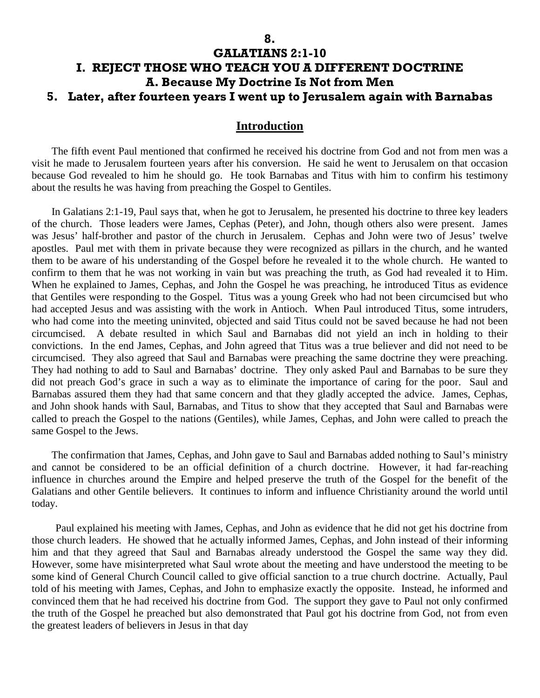## **GALATIANS 2:1-10 I. REJECT THOSE WHO TEACH YOU A DIFFERENT DOCTRINE A. Because My Doctrine Is Not from Men 5. Later, after fourteen years I went up to Jerusalem again with Barnabas**

#### **Introduction**

The fifth event Paul mentioned that confirmed he received his doctrine from God and not from men was a visit he made to Jerusalem fourteen years after his conversion. He said he went to Jerusalem on that occasion because God revealed to him he should go. He took Barnabas and Titus with him to confirm his testimony about the results he was having from preaching the Gospel to Gentiles.

In Galatians 2:1-19, Paul says that, when he got to Jerusalem, he presented his doctrine to three key leaders of the church. Those leaders were James, Cephas (Peter), and John, though others also were present. James was Jesus' half-brother and pastor of the church in Jerusalem. Cephas and John were two of Jesus' twelve apostles. Paul met with them in private because they were recognized as pillars in the church, and he wanted them to be aware of his understanding of the Gospel before he revealed it to the whole church. He wanted to confirm to them that he was not working in vain but was preaching the truth, as God had revealed it to Him. When he explained to James, Cephas, and John the Gospel he was preaching, he introduced Titus as evidence that Gentiles were responding to the Gospel. Titus was a young Greek who had not been circumcised but who had accepted Jesus and was assisting with the work in Antioch. When Paul introduced Titus, some intruders, who had come into the meeting uninvited, objected and said Titus could not be saved because he had not been circumcised. A debate resulted in which Saul and Barnabas did not yield an inch in holding to their convictions. In the end James, Cephas, and John agreed that Titus was a true believer and did not need to be circumcised. They also agreed that Saul and Barnabas were preaching the same doctrine they were preaching. They had nothing to add to Saul and Barnabas' doctrine. They only asked Paul and Barnabas to be sure they did not preach God's grace in such a way as to eliminate the importance of caring for the poor. Saul and Barnabas assured them they had that same concern and that they gladly accepted the advice. James, Cephas, and John shook hands with Saul, Barnabas, and Titus to show that they accepted that Saul and Barnabas were called to preach the Gospel to the nations (Gentiles), while James, Cephas, and John were called to preach the same Gospel to the Jews.

The confirmation that James, Cephas, and John gave to Saul and Barnabas added nothing to Saul's ministry and cannot be considered to be an official definition of a church doctrine. However, it had far-reaching influence in churches around the Empire and helped preserve the truth of the Gospel for the benefit of the Galatians and other Gentile believers. It continues to inform and influence Christianity around the world until today.

Paul explained his meeting with James, Cephas, and John as evidence that he did not get his doctrine from those church leaders. He showed that he actually informed James, Cephas, and John instead of their informing him and that they agreed that Saul and Barnabas already understood the Gospel the same way they did. However, some have misinterpreted what Saul wrote about the meeting and have understood the meeting to be some kind of General Church Council called to give official sanction to a true church doctrine. Actually, Paul told of his meeting with James, Cephas, and John to emphasize exactly the opposite. Instead, he informed and convinced them that he had received his doctrine from God. The support they gave to Paul not only confirmed the truth of the Gospel he preached but also demonstrated that Paul got his doctrine from God, not from even the greatest leaders of believers in Jesus in that day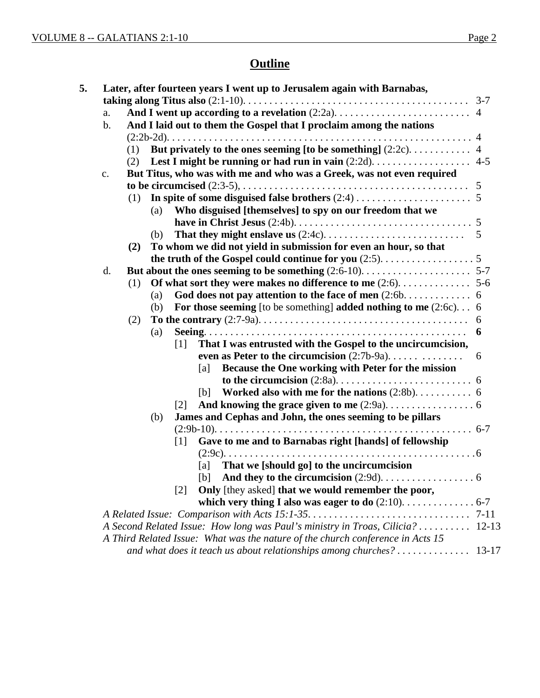# **Outline**

| a.            |                                                                                                          |
|---------------|----------------------------------------------------------------------------------------------------------|
| $\mathbf b$ . | And I laid out to them the Gospel that I proclaim among the nations                                      |
|               |                                                                                                          |
|               | (1)                                                                                                      |
|               | (2)                                                                                                      |
| c.            | But Titus, who was with me and who was a Greek, was not even required                                    |
|               |                                                                                                          |
|               | (1)                                                                                                      |
|               | Who disguised [themselves] to spy on our freedom that we<br>(a)                                          |
|               |                                                                                                          |
|               | $5\overline{5}$<br>(b)                                                                                   |
|               | To whom we did not yield in submission for even an hour, so that<br>(2)                                  |
|               |                                                                                                          |
| d.            |                                                                                                          |
|               | (1)                                                                                                      |
|               | God does not pay attention to the face of men $(2.6b6$<br>(a)                                            |
|               | For those seeming [to be something] added nothing to me $(2.6c)$ . 6<br>(b)                              |
|               | (2)                                                                                                      |
|               | 6<br>(a)                                                                                                 |
|               | That I was entrusted with the Gospel to the uncircumcision,<br>$\lceil 1 \rceil$                         |
|               | even as Peter to the circumcision $(2:7b-9a)$<br>6<br>Because the One working with Peter for the mission |
|               | [a]                                                                                                      |
|               | [b]                                                                                                      |
|               | $\lceil 2 \rceil$                                                                                        |
|               | James and Cephas and John, the ones seeming to be pillars<br>(b)                                         |
|               |                                                                                                          |
|               | Gave to me and to Barnabas right [hands] of fellowship<br>$\lceil 1 \rceil$                              |
|               |                                                                                                          |
|               | [a] That we [should go] to the uncircumcision                                                            |
|               |                                                                                                          |
|               | Only [they asked] that we would remember the poor,<br>$\lceil 2 \rceil$                                  |
|               |                                                                                                          |
|               |                                                                                                          |
|               | A Second Related Issue: How long was Paul's ministry in Troas, Cilicia?  12-13                           |
|               | A Third Related Issue: What was the nature of the church conference in Acts 15                           |
|               | and what does it teach us about relationships among churches?<br>$13-17$                                 |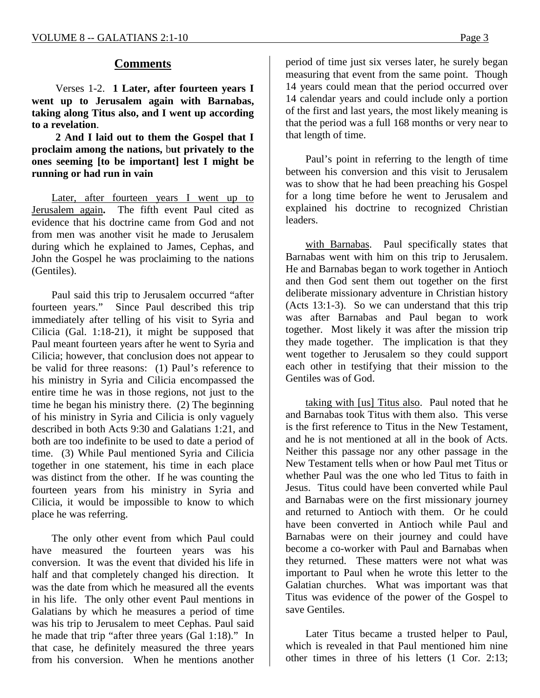## **Comments**

Verses 1-2. **1 Later, after fourteen years I went up to Jerusalem again with Barnabas, taking along Titus also, and I went up according to a revelation**.

**2 And I laid out to them the Gospel that I proclaim among the nations,** b**ut privately to the ones seeming [to be important] lest I might be running or had run in vain**

Later, after fourteen years I went up to Jerusalem again**.** The fifth event Paul cited as evidence that his doctrine came from God and not from men was another visit he made to Jerusalem during which he explained to James, Cephas, and John the Gospel he was proclaiming to the nations (Gentiles).

Paul said this trip to Jerusalem occurred "after fourteen years." Since Paul described this trip immediately after telling of his visit to Syria and Cilicia (Gal. 1:18-21), it might be supposed that Paul meant fourteen years after he went to Syria and Cilicia; however, that conclusion does not appear to be valid for three reasons: (1) Paul's reference to his ministry in Syria and Cilicia encompassed the entire time he was in those regions, not just to the time he began his ministry there. (2) The beginning of his ministry in Syria and Cilicia is only vaguely described in both Acts 9:30 and Galatians 1:21, and both are too indefinite to be used to date a period of time. (3) While Paul mentioned Syria and Cilicia together in one statement, his time in each place was distinct from the other. If he was counting the fourteen years from his ministry in Syria and Cilicia, it would be impossible to know to which place he was referring.

The only other event from which Paul could have measured the fourteen years was his conversion. It was the event that divided his life in half and that completely changed his direction. It was the date from which he measured all the events in his life. The only other event Paul mentions in Galatians by which he measures a period of time was his trip to Jerusalem to meet Cephas. Paul said he made that trip "after three years (Gal 1:18)." In that case, he definitely measured the three years from his conversion. When he mentions another

period of time just six verses later, he surely began measuring that event from the same point. Though 14 years could mean that the period occurred over 14 calendar years and could include only a portion of the first and last years, the most likely meaning is that the period was a full 168 months or very near to that length of time.

Paul's point in referring to the length of time between his conversion and this visit to Jerusalem was to show that he had been preaching his Gospel for a long time before he went to Jerusalem and explained his doctrine to recognized Christian leaders.

with Barnabas. Paul specifically states that Barnabas went with him on this trip to Jerusalem. He and Barnabas began to work together in Antioch and then God sent them out together on the first deliberate missionary adventure in Christian history (Acts 13:1-3). So we can understand that this trip was after Barnabas and Paul began to work together. Most likely it was after the mission trip they made together. The implication is that they went together to Jerusalem so they could support each other in testifying that their mission to the Gentiles was of God.

taking with [us] Titus also. Paul noted that he and Barnabas took Titus with them also. This verse is the first reference to Titus in the New Testament, and he is not mentioned at all in the book of Acts. Neither this passage nor any other passage in the New Testament tells when or how Paul met Titus or whether Paul was the one who led Titus to faith in Jesus. Titus could have been converted while Paul and Barnabas were on the first missionary journey and returned to Antioch with them. Or he could have been converted in Antioch while Paul and Barnabas were on their journey and could have become a co-worker with Paul and Barnabas when they returned. These matters were not what was important to Paul when he wrote this letter to the Galatian churches. What was important was that Titus was evidence of the power of the Gospel to save Gentiles.

Later Titus became a trusted helper to Paul, which is revealed in that Paul mentioned him nine other times in three of his letters (1 Cor. 2:13;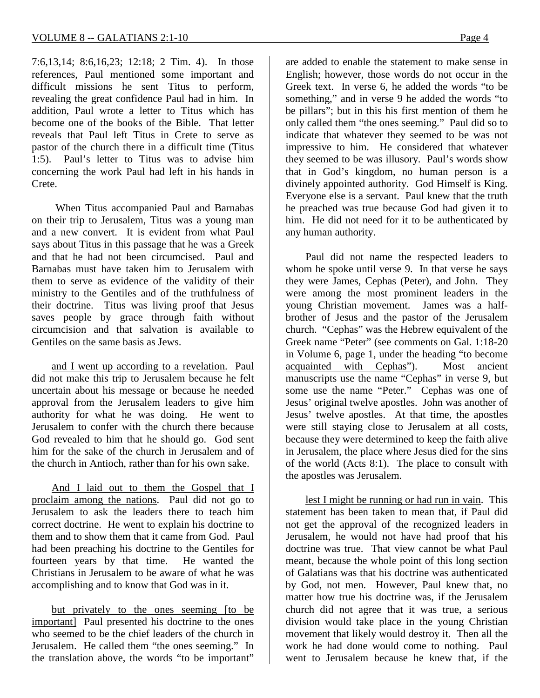7:6,13,14; 8:6,16,23; 12:18; 2 Tim. 4). In those references, Paul mentioned some important and difficult missions he sent Titus to perform, revealing the great confidence Paul had in him. In addition, Paul wrote a letter to Titus which has become one of the books of the Bible. That letter reveals that Paul left Titus in Crete to serve as pastor of the church there in a difficult time (Titus 1:5). Paul's letter to Titus was to advise him concerning the work Paul had left in his hands in Crete.

When Titus accompanied Paul and Barnabas on their trip to Jerusalem, Titus was a young man and a new convert. It is evident from what Paul says about Titus in this passage that he was a Greek and that he had not been circumcised. Paul and Barnabas must have taken him to Jerusalem with them to serve as evidence of the validity of their ministry to the Gentiles and of the truthfulness of their doctrine. Titus was living proof that Jesus saves people by grace through faith without circumcision and that salvation is available to Gentiles on the same basis as Jews.

and I went up according to a revelation. Paul did not make this trip to Jerusalem because he felt uncertain about his message or because he needed approval from the Jerusalem leaders to give him authority for what he was doing. He went to Jerusalem to confer with the church there because God revealed to him that he should go. God sent him for the sake of the church in Jerusalem and of the church in Antioch, rather than for his own sake.

And I laid out to them the Gospel that I proclaim among the nations. Paul did not go to Jerusalem to ask the leaders there to teach him correct doctrine. He went to explain his doctrine to them and to show them that it came from God. Paul had been preaching his doctrine to the Gentiles for fourteen years by that time. He wanted the Christians in Jerusalem to be aware of what he was accomplishing and to know that God was in it.

but privately to the ones seeming [to be important] Paul presented his doctrine to the ones who seemed to be the chief leaders of the church in Jerusalem. He called them "the ones seeming." In the translation above, the words "to be important"

are added to enable the statement to make sense in English; however, those words do not occur in the Greek text. In verse 6, he added the words "to be something," and in verse 9 he added the words "to be pillars"; but in this his first mention of them he only called them "the ones seeming." Paul did so to indicate that whatever they seemed to be was not impressive to him. He considered that whatever they seemed to be was illusory. Paul's words show that in God's kingdom, no human person is a divinely appointed authority. God Himself is King. Everyone else is a servant. Paul knew that the truth he preached was true because God had given it to him. He did not need for it to be authenticated by any human authority.

Paul did not name the respected leaders to whom he spoke until verse 9. In that verse he says they were James, Cephas (Peter), and John. They were among the most prominent leaders in the young Christian movement. James was a halfbrother of Jesus and the pastor of the Jerusalem church. "Cephas" was the Hebrew equivalent of the Greek name "Peter" (see comments on Gal. 1:18-20 in Volume 6, page 1, under the heading "to become acquainted with Cephas"). Most ancient manuscripts use the name "Cephas" in verse 9, but some use the name "Peter." Cephas was one of Jesus' original twelve apostles. John was another of Jesus' twelve apostles. At that time, the apostles were still staying close to Jerusalem at all costs, because they were determined to keep the faith alive in Jerusalem, the place where Jesus died for the sins of the world (Acts 8:1). The place to consult with the apostles was Jerusalem.

lest I might be running or had run in vain. This statement has been taken to mean that, if Paul did not get the approval of the recognized leaders in Jerusalem, he would not have had proof that his doctrine was true. That view cannot be what Paul meant, because the whole point of this long section of Galatians was that his doctrine was authenticated by God, not men. However, Paul knew that, no matter how true his doctrine was, if the Jerusalem church did not agree that it was true, a serious division would take place in the young Christian movement that likely would destroy it. Then all the work he had done would come to nothing. Paul went to Jerusalem because he knew that, if the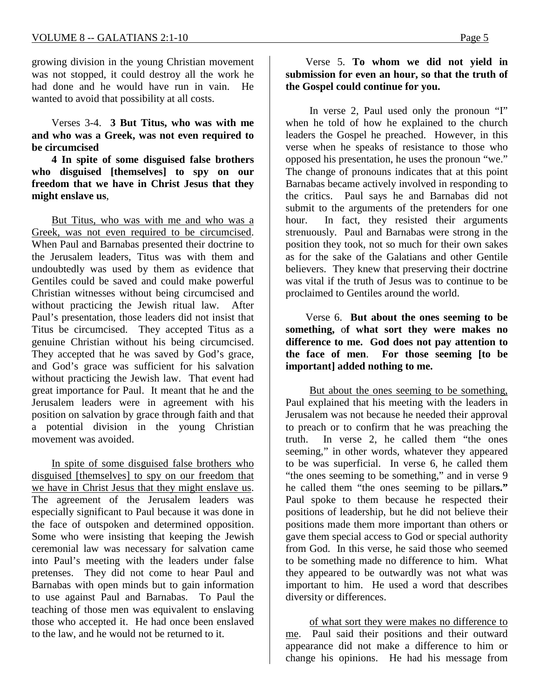growing division in the young Christian movement was not stopped, it could destroy all the work he had done and he would have run in vain. He wanted to avoid that possibility at all costs.

Verses 3-4. **3 But Titus, who was with me and who was a Greek, was not even required to be circumcised**

**4 In spite of some disguised false brothers who disguised [themselves] to spy on our freedom that we have in Christ Jesus that they might enslave us**,

But Titus, who was with me and who was a Greek, was not even required to be circumcised. When Paul and Barnabas presented their doctrine to the Jerusalem leaders, Titus was with them and undoubtedly was used by them as evidence that Gentiles could be saved and could make powerful Christian witnesses without being circumcised and without practicing the Jewish ritual law. After Paul's presentation, those leaders did not insist that Titus be circumcised. They accepted Titus as a genuine Christian without his being circumcised. They accepted that he was saved by God's grace, and God's grace was sufficient for his salvation without practicing the Jewish law. That event had great importance for Paul. It meant that he and the Jerusalem leaders were in agreement with his position on salvation by grace through faith and that a potential division in the young Christian movement was avoided.

In spite of some disguised false brothers who disguised [themselves] to spy on our freedom that we have in Christ Jesus that they might enslave us. The agreement of the Jerusalem leaders was especially significant to Paul because it was done in the face of outspoken and determined opposition. Some who were insisting that keeping the Jewish ceremonial law was necessary for salvation came into Paul's meeting with the leaders under false pretenses. They did not come to hear Paul and Barnabas with open minds but to gain information to use against Paul and Barnabas. To Paul the teaching of those men was equivalent to enslaving those who accepted it. He had once been enslaved to the law, and he would not be returned to it.

#### Verse 5. **To whom we did not yield in submission for even an hour, so that the truth of the Gospel could continue for you.**

In verse 2, Paul used only the pronoun "I" when he told of how he explained to the church leaders the Gospel he preached. However, in this verse when he speaks of resistance to those who opposed his presentation, he uses the pronoun "we." The change of pronouns indicates that at this point Barnabas became actively involved in responding to the critics. Paul says he and Barnabas did not submit to the arguments of the pretenders for one hour. In fact, they resisted their arguments strenuously. Paul and Barnabas were strong in the position they took, not so much for their own sakes as for the sake of the Galatians and other Gentile believers. They knew that preserving their doctrine was vital if the truth of Jesus was to continue to be proclaimed to Gentiles around the world.

Verse 6. **But about the ones seeming to be something,** o**f what sort they were makes no difference to me. God does not pay attention to the face of men**. **For those seeming [to be important] added nothing to me.**

But about the ones seeming to be something, Paul explained that his meeting with the leaders in Jerusalem was not because he needed their approval to preach or to confirm that he was preaching the truth. In verse 2, he called them "the ones seeming," in other words, whatever they appeared to be was superficial. In verse 6, he called them "the ones seeming to be something," and in verse 9 he called them "the ones seeming to be pillar**s."** Paul spoke to them because he respected their positions of leadership, but he did not believe their positions made them more important than others or gave them special access to God or special authority from God. In this verse, he said those who seemed to be something made no difference to him. What they appeared to be outwardly was not what was important to him. He used a word that describes diversity or differences.

of what sort they were makes no difference to me. Paul said their positions and their outward appearance did not make a difference to him or change his opinions. He had his message from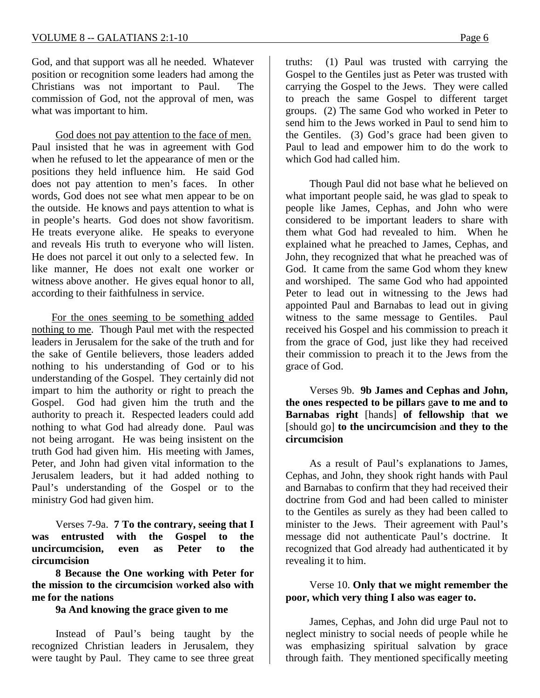God, and that support was all he needed. Whatever position or recognition some leaders had among the Christians was not important to Paul. The commission of God, not the approval of men, was what was important to him.

God does not pay attention to the face of men. Paul insisted that he was in agreement with God when he refused to let the appearance of men or the positions they held influence him. He said God does not pay attention to men's faces. In other words, God does not see what men appear to be on the outside. He knows and pays attention to what is in people's hearts. God does not show favoritism. He treats everyone alike. He speaks to everyone and reveals His truth to everyone who will listen. He does not parcel it out only to a selected few. In like manner, He does not exalt one worker or witness above another. He gives equal honor to all, according to their faithfulness in service.

For the ones seeming to be something added nothing to me. Though Paul met with the respected leaders in Jerusalem for the sake of the truth and for the sake of Gentile believers, those leaders added nothing to his understanding of God or to his understanding of the Gospel. They certainly did not impart to him the authority or right to preach the Gospel. God had given him the truth and the authority to preach it. Respected leaders could add nothing to what God had already done. Paul was not being arrogant. He was being insistent on the truth God had given him. His meeting with James, Peter, and John had given vital information to the Jerusalem leaders, but it had added nothing to Paul's understanding of the Gospel or to the ministry God had given him.

Verses 7-9a. **7 To the contrary, seeing that I was entrusted with the Gospel to the uncircumcision, even as Peter to the circumcision**

**8 Because the One working with Peter for the mission to the circumcision** w**orked also with me for the nations**

#### **9a And knowing the grace given to me**

Instead of Paul's being taught by the recognized Christian leaders in Jerusalem, they were taught by Paul. They came to see three great

truths: (1) Paul was trusted with carrying the Gospel to the Gentiles just as Peter was trusted with carrying the Gospel to the Jews. They were called to preach the same Gospel to different target groups. (2) The same God who worked in Peter to send him to the Jews worked in Paul to send him to the Gentiles. (3) God's grace had been given to Paul to lead and empower him to do the work to which God had called him.

Though Paul did not base what he believed on what important people said, he was glad to speak to people like James, Cephas, and John who were considered to be important leaders to share with them what God had revealed to him. When he explained what he preached to James, Cephas, and John, they recognized that what he preached was of God. It came from the same God whom they knew and worshiped. The same God who had appointed Peter to lead out in witnessing to the Jews had appointed Paul and Barnabas to lead out in giving witness to the same message to Gentiles. Paul received his Gospel and his commission to preach it from the grace of God, just like they had received their commission to preach it to the Jews from the grace of God.

Verses 9b. **9b James and Cephas and John, the ones respected to be pillars** g**ave to me and to Barnabas right** [hands] **of fellowship** t**hat we**  [should go] **to the uncircumcision** a**nd they to the circumcision**

As a result of Paul's explanations to James, Cephas, and John, they shook right hands with Paul and Barnabas to confirm that they had received their doctrine from God and had been called to minister to the Gentiles as surely as they had been called to minister to the Jews. Their agreement with Paul's message did not authenticate Paul's doctrine. It recognized that God already had authenticated it by revealing it to him.

Verse 10. **Only that we might remember the poor, which very thing I also was eager to.**

James, Cephas, and John did urge Paul not to neglect ministry to social needs of people while he was emphasizing spiritual salvation by grace through faith. They mentioned specifically meeting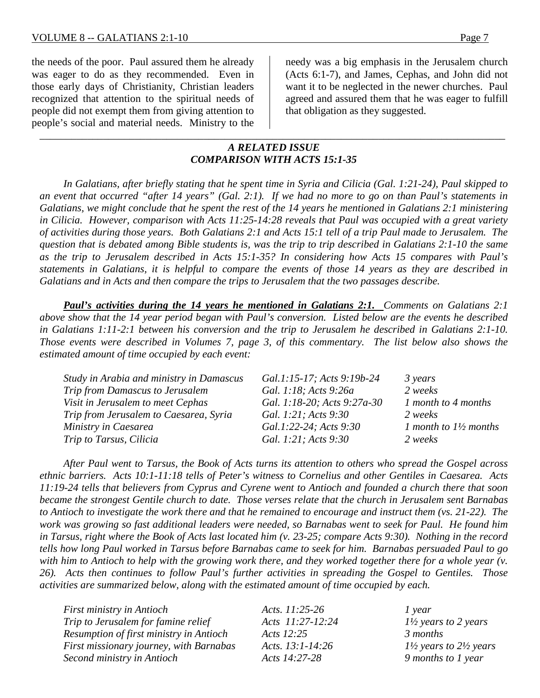the needs of the poor. Paul assured them he already was eager to do as they recommended. Even in those early days of Christianity, Christian leaders recognized that attention to the spiritual needs of people did not exempt them from giving attention to people's social and material needs. Ministry to the

needy was a big emphasis in the Jerusalem church (Acts 6:1-7), and James, Cephas, and John did not want it to be neglected in the newer churches. Paul agreed and assured them that he was eager to fulfill that obligation as they suggested.

## *A RELATED ISSUE COMPARISON WITH ACTS 15:1-35*

*\_\_\_\_\_\_\_\_\_\_\_\_\_\_\_\_\_\_\_\_\_\_\_\_\_\_\_\_\_\_\_\_\_\_\_\_\_\_\_\_\_\_\_\_\_\_\_\_\_\_\_\_\_\_\_\_\_\_\_\_\_\_\_\_\_\_\_\_\_\_\_\_\_\_\_\_\_\_\_\_\_\_\_\_\_\_\_\_*

*In Galatians, after briefly stating that he spent time in Syria and Cilicia (Gal. 1:21-24), Paul skipped to an event that occurred "after 14 years" (Gal. 2:1). If we had no more to go on than Paul's statements in Galatians, we might conclude that he spent the rest of the 14 years he mentioned in Galatians 2:1 ministering in Cilicia. However, comparison with Acts 11:25-14:28 reveals that Paul was occupied with a great variety of activities during those years. Both Galatians 2:1 and Acts 15:1 tell of a trip Paul made to Jerusalem. The question that is debated among Bible students is, was the trip to trip described in Galatians 2:1-10 the same as the trip to Jerusalem described in Acts 15:1-35? In considering how Acts 15 compares with Paul's statements in Galatians, it is helpful to compare the events of those 14 years as they are described in Galatians and in Acts and then compare the trips to Jerusalem that the two passages describe.*

*Paul's activities during the 14 years he mentioned in Galatians 2:1. Comments on Galatians 2:1 above show that the 14 year period began with Paul's conversion. Listed below are the events he described in Galatians 1:11-2:1 between his conversion and the trip to Jerusalem he described in Galatians 2:1-10. Those events were described in Volumes 7, page 3, of this commentary. The list below also shows the estimated amount of time occupied by each event:*

| Study in Arabia and ministry in Damascus | Gal.1:15-17; Acts 9:19b-24  | 3 years                          |
|------------------------------------------|-----------------------------|----------------------------------|
| Trip from Damascus to Jerusalem          | Gal. 1:18; Acts 9:26a       | 2 weeks                          |
| Visit in Jerusalem to meet Cephas        | Gal. 1:18-20; Acts 9:27a-30 | 1 month to 4 months              |
| Trip from Jerusalem to Caesarea, Syria   | Gal. 1:21; Acts 9:30        | 2 weeks                          |
| Ministry in Caesarea                     | Gal.1:22-24; Acts 9:30      | 1 month to $1\frac{1}{2}$ months |
| Trip to Tarsus, Cilicia                  | Gal. 1:21; Acts 9:30        | 2 weeks                          |

*After Paul went to Tarsus, the Book of Acts turns its attention to others who spread the Gospel across ethnic barriers. Acts 10:1-11:18 tells of Peter's witness to Cornelius and other Gentiles in Caesarea. Acts 11:19-24 tells that believers from Cyprus and Cyrene went to Antioch and founded a church there that soon became the strongest Gentile church to date. Those verses relate that the church in Jerusalem sent Barnabas to Antioch to investigate the work there and that he remained to encourage and instruct them (vs. 21-22). The work was growing so fast additional leaders were needed, so Barnabas went to seek for Paul. He found him in Tarsus, right where the Book of Acts last located him (v. 23-25; compare Acts 9:30). Nothing in the record tells how long Paul worked in Tarsus before Barnabas came to seek for him. Barnabas persuaded Paul to go with him to Antioch to help with the growing work there, and they worked together there for a whole year (v. 26). Acts then continues to follow Paul's further activities in spreading the Gospel to Gentiles. Those activities are summarized below, along with the estimated amount of time occupied by each.*

| <b>First ministry in Antioch</b>        | Acts. $11:25-26$     | 1 year                                       |
|-----------------------------------------|----------------------|----------------------------------------------|
| Trip to Jerusalem for famine relief     | Acts 11:27-12:24     | $1\frac{1}{2}$ years to 2 years              |
| Resumption of first ministry in Antioch | Acts 12:25           | 3 months                                     |
| First missionary journey, with Barnabas | Acts. $13:1 - 14:26$ | $1\frac{1}{2}$ years to $2\frac{1}{2}$ years |
| Second ministry in Antioch              | Acts 14:27-28        | 9 months to 1 year                           |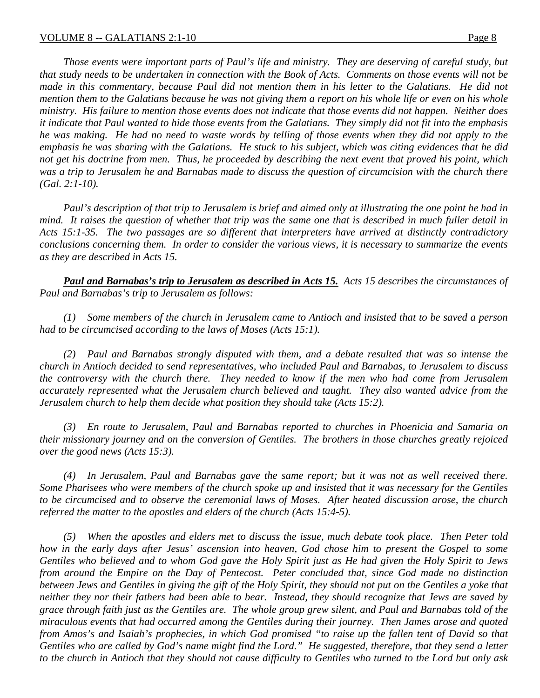*Those events were important parts of Paul's life and ministry. They are deserving of careful study, but that study needs to be undertaken in connection with the Book of Acts. Comments on those events will not be made in this commentary, because Paul did not mention them in his letter to the Galatians. He did not mention them to the Galatians because he was not giving them a report on his whole life or even on his whole ministry. His failure to mention those events does not indicate that those events did not happen. Neither does it indicate that Paul wanted to hide those events from the Galatians. They simply did not fit into the emphasis he was making. He had no need to waste words by telling of those events when they did not apply to the emphasis he was sharing with the Galatians. He stuck to his subject, which was citing evidences that he did not get his doctrine from men. Thus, he proceeded by describing the next event that proved his point, which was a trip to Jerusalem he and Barnabas made to discuss the question of circumcision with the church there (Gal. 2:1-10).*

*Paul's description of that trip to Jerusalem is brief and aimed only at illustrating the one point he had in mind. It raises the question of whether that trip was the same one that is described in much fuller detail in Acts 15:1-35. The two passages are so different that interpreters have arrived at distinctly contradictory conclusions concerning them. In order to consider the various views, it is necessary to summarize the events as they are described in Acts 15.*

*Paul and Barnabas's trip to Jerusalem as described in Acts 15. Acts 15 describes the circumstances of Paul and Barnabas's trip to Jerusalem as follows:*

*(1) Some members of the church in Jerusalem came to Antioch and insisted that to be saved a person had to be circumcised according to the laws of Moses (Acts 15:1).*

*(2) Paul and Barnabas strongly disputed with them, and a debate resulted that was so intense the church in Antioch decided to send representatives, who included Paul and Barnabas, to Jerusalem to discuss the controversy with the church there. They needed to know if the men who had come from Jerusalem accurately represented what the Jerusalem church believed and taught. They also wanted advice from the Jerusalem church to help them decide what position they should take (Acts 15:2).*

*(3) En route to Jerusalem, Paul and Barnabas reported to churches in Phoenicia and Samaria on their missionary journey and on the conversion of Gentiles. The brothers in those churches greatly rejoiced over the good news (Acts 15:3).*

*(4) In Jerusalem, Paul and Barnabas gave the same report; but it was not as well received there. Some Pharisees who were members of the church spoke up and insisted that it was necessary for the Gentiles to be circumcised and to observe the ceremonial laws of Moses. After heated discussion arose, the church referred the matter to the apostles and elders of the church (Acts 15:4-5).*

*(5) When the apostles and elders met to discuss the issue, much debate took place. Then Peter told how in the early days after Jesus' ascension into heaven, God chose him to present the Gospel to some Gentiles who believed and to whom God gave the Holy Spirit just as He had given the Holy Spirit to Jews from around the Empire on the Day of Pentecost. Peter concluded that, since God made no distinction between Jews and Gentiles in giving the gift of the Holy Spirit, they should not put on the Gentiles a yoke that neither they nor their fathers had been able to bear. Instead, they should recognize that Jews are saved by grace through faith just as the Gentiles are. The whole group grew silent, and Paul and Barnabas told of the miraculous events that had occurred among the Gentiles during their journey. Then James arose and quoted from Amos's and Isaiah's prophecies, in which God promised "to raise up the fallen tent of David so that Gentiles who are called by God's name might find the Lord." He suggested, therefore, that they send a letter to the church in Antioch that they should not cause difficulty to Gentiles who turned to the Lord but only ask*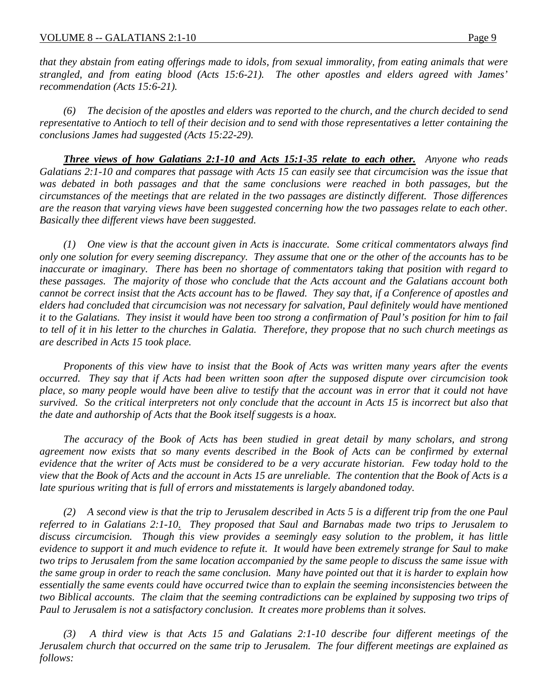*that they abstain from eating offerings made to idols, from sexual immorality, from eating animals that were strangled, and from eating blood (Acts 15:6-21). The other apostles and elders agreed with James' recommendation (Acts 15:6-21).*

*(6) The decision of the apostles and elders was reported to the church, and the church decided to send representative to Antioch to tell of their decision and to send with those representatives a letter containing the conclusions James had suggested (Acts 15:22-29).*

*Three views of how Galatians 2:1-10 and Acts 15:1-35 relate to each other. Anyone who reads Galatians 2:1-10 and compares that passage with Acts 15 can easily see that circumcision was the issue that*  was debated in both passages and that the same conclusions were reached in both passages, but the *circumstances of the meetings that are related in the two passages are distinctly different. Those differences are the reason that varying views have been suggested concerning how the two passages relate to each other. Basically thee different views have been suggested.*

*(1) One view is that the account given in Acts is inaccurate. Some critical commentators always find only one solution for every seeming discrepancy. They assume that one or the other of the accounts has to be inaccurate or imaginary. There has been no shortage of commentators taking that position with regard to these passages. The majority of those who conclude that the Acts account and the Galatians account both cannot be correct insist that the Acts account has to be flawed. They say that, if a Conference of apostles and elders had concluded that circumcision was not necessary for salvation, Paul definitely would have mentioned it to the Galatians. They insist it would have been too strong a confirmation of Paul's position for him to fail to tell of it in his letter to the churches in Galatia. Therefore, they propose that no such church meetings as are described in Acts 15 took place.*

*Proponents of this view have to insist that the Book of Acts was written many years after the events occurred. They say that if Acts had been written soon after the supposed dispute over circumcision took place, so many people would have been alive to testify that the account was in error that it could not have survived. So the critical interpreters not only conclude that the account in Acts 15 is incorrect but also that the date and authorship of Acts that the Book itself suggests is a hoax.*

*The accuracy of the Book of Acts has been studied in great detail by many scholars, and strong*  agreement now exists that so many events described in the Book of Acts can be confirmed by external *evidence that the writer of Acts must be considered to be a very accurate historian. Few today hold to the view that the Book of Acts and the account in Acts 15 are unreliable. The contention that the Book of Acts is a late spurious writing that is full of errors and misstatements is largely abandoned today.*

*(2) A second view is that the trip to Jerusalem described in Acts 5 is a different trip from the one Paul referred to in Galatians 2:1-10*. *They proposed that Saul and Barnabas made two trips to Jerusalem to discuss circumcision. Though this view provides a seemingly easy solution to the problem, it has little evidence to support it and much evidence to refute it. It would have been extremely strange for Saul to make two trips to Jerusalem from the same location accompanied by the same people to discuss the same issue with the same group in order to reach the same conclusion. Many have pointed out that it is harder to explain how essentially the same events could have occurred twice than to explain the seeming inconsistencies between the two Biblical accounts. The claim that the seeming contradictions can be explained by supposing two trips of Paul to Jerusalem is not a satisfactory conclusion. It creates more problems than it solves.*

*(3) A third view is that Acts 15 and Galatians 2:1-10 describe four different meetings of the Jerusalem church that occurred on the same trip to Jerusalem. The four different meetings are explained as follows:*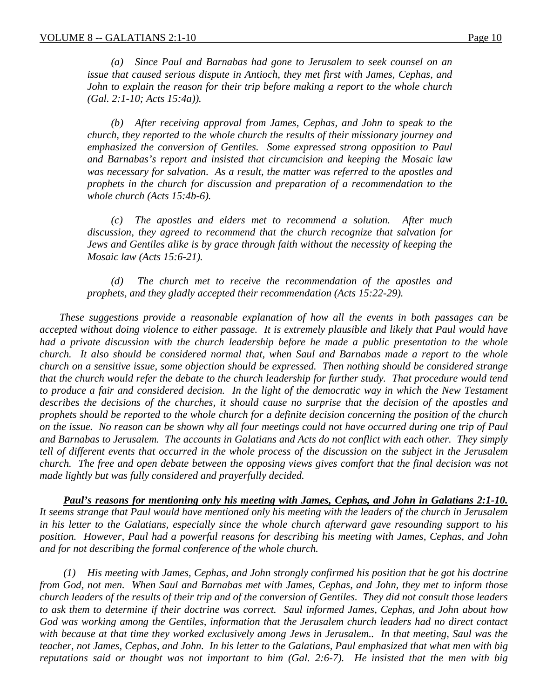*(a) Since Paul and Barnabas had gone to Jerusalem to seek counsel on an issue that caused serious dispute in Antioch, they met first with James, Cephas, and John to explain the reason for their trip before making a report to the whole church (Gal. 2:1-10; Acts 15:4a)).*

*(b) After receiving approval from James, Cephas, and John to speak to the church, they reported to the whole church the results of their missionary journey and emphasized the conversion of Gentiles. Some expressed strong opposition to Paul and Barnabas's report and insisted that circumcision and keeping the Mosaic law was necessary for salvation. As a result, the matter was referred to the apostles and prophets in the church for discussion and preparation of a recommendation to the whole church (Acts 15:4b-6).*

*(c) The apostles and elders met to recommend a solution. After much discussion, they agreed to recommend that the church recognize that salvation for Jews and Gentiles alike is by grace through faith without the necessity of keeping the Mosaic law (Acts 15:6-21).*

*(d) The church met to receive the recommendation of the apostles and prophets, and they gladly accepted their recommendation (Acts 15:22-29).*

*These suggestions provide a reasonable explanation of how all the events in both passages can be accepted without doing violence to either passage. It is extremely plausible and likely that Paul would have had a private discussion with the church leadership before he made a public presentation to the whole church. It also should be considered normal that, when Saul and Barnabas made a report to the whole church on a sensitive issue, some objection should be expressed. Then nothing should be considered strange that the church would refer the debate to the church leadership for further study. That procedure would tend* to produce a fair and considered decision. In the light of the democratic way in which the New Testament *describes the decisions of the churches, it should cause no surprise that the decision of the apostles and prophets should be reported to the whole church for a definite decision concerning the position of the church on the issue. No reason can be shown why all four meetings could not have occurred during one trip of Paul and Barnabas to Jerusalem. The accounts in Galatians and Acts do not conflict with each other. They simply tell of different events that occurred in the whole process of the discussion on the subject in the Jerusalem church. The free and open debate between the opposing views gives comfort that the final decision was not made lightly but was fully considered and prayerfully decided.*

*Paul's reasons for mentioning only his meeting with James, Cephas, and John in Galatians 2:1-10. It seems strange that Paul would have mentioned only his meeting with the leaders of the church in Jerusalem in his letter to the Galatians, especially since the whole church afterward gave resounding support to his position. However, Paul had a powerful reasons for describing his meeting with James, Cephas, and John and for not describing the formal conference of the whole church.*

*(1) His meeting with James, Cephas, and John strongly confirmed his position that he got his doctrine from God, not men. When Saul and Barnabas met with James, Cephas, and John, they met to inform those church leaders of the results of their trip and of the conversion of Gentiles. They did not consult those leaders to ask them to determine if their doctrine was correct. Saul informed James, Cephas, and John about how God was working among the Gentiles, information that the Jerusalem church leaders had no direct contact with because at that time they worked exclusively among Jews in Jerusalem.. In that meeting, Saul was the teacher, not James, Cephas, and John. In his letter to the Galatians, Paul emphasized that what men with big reputations said or thought was not important to him (Gal. 2:6-7). He insisted that the men with big*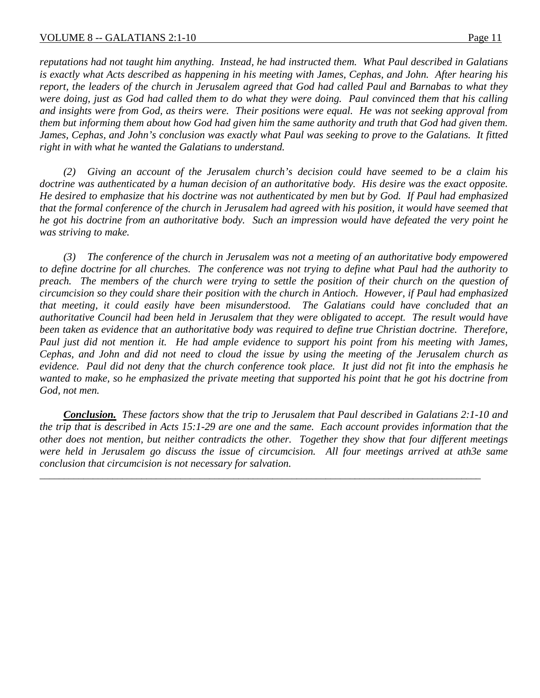*reputations had not taught him anything. Instead, he had instructed them. What Paul described in Galatians is exactly what Acts described as happening in his meeting with James, Cephas, and John. After hearing his report, the leaders of the church in Jerusalem agreed that God had called Paul and Barnabas to what they were doing, just as God had called them to do what they were doing. Paul convinced them that his calling and insights were from God, as theirs were. Their positions were equal. He was not seeking approval from them but informing them about how God had given him the same authority and truth that God had given them. James, Cephas, and John's conclusion was exactly what Paul was seeking to prove to the Galatians. It fitted right in with what he wanted the Galatians to understand.*

*(2) Giving an account of the Jerusalem church's decision could have seemed to be a claim his*  doctrine was authenticated by a human decision of an authoritative body. His desire was the exact opposite. *He desired to emphasize that his doctrine was not authenticated by men but by God. If Paul had emphasized that the formal conference of the church in Jerusalem had agreed with his position, it would have seemed that he got his doctrine from an authoritative body. Such an impression would have defeated the very point he was striving to make.*

*(3) The conference of the church in Jerusalem was not a meeting of an authoritative body empowered to define doctrine for all churches. The conference was not trying to define what Paul had the authority to preach. The members of the church were trying to settle the position of their church on the question of circumcision so they could share their position with the church in Antioch. However, if Paul had emphasized that meeting, it could easily have been misunderstood. The Galatians could have concluded that an authoritative Council had been held in Jerusalem that they were obligated to accept. The result would have*  been taken as evidence that an authoritative body was required to define true Christian doctrine. Therefore, *Paul just did not mention it. He had ample evidence to support his point from his meeting with James, Cephas, and John and did not need to cloud the issue by using the meeting of the Jerusalem church as evidence. Paul did not deny that the church conference took place. It just did not fit into the emphasis he wanted to make, so he emphasized the private meeting that supported his point that he got his doctrine from God, not men.*

*Conclusion. These factors show that the trip to Jerusalem that Paul described in Galatians 2:1-10 and the trip that is described in Acts 15:1-29 are one and the same. Each account provides information that the other does not mention, but neither contradicts the other. Together they show that four different meetings were held in Jerusalem go discuss the issue of circumcision. All four meetings arrived at ath3e same conclusion that circumcision is not necessary for salvation.*

\_\_\_\_\_\_\_\_\_\_\_\_\_\_\_\_\_\_\_\_\_\_\_\_\_\_\_\_\_\_\_\_\_\_\_\_\_\_\_\_\_\_\_\_\_\_\_\_\_\_\_\_\_\_\_\_\_\_\_\_\_\_\_\_\_\_\_\_\_\_\_\_\_\_\_\_\_\_\_\_\_\_\_\_\_\_\_\_\_\_\_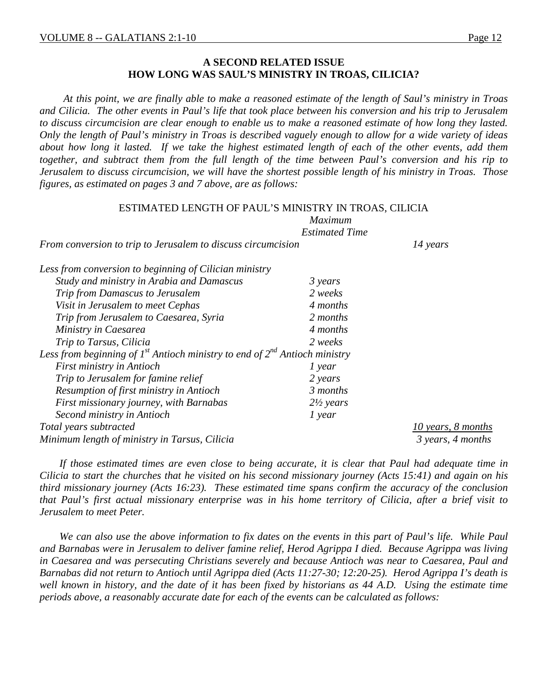#### **A SECOND RELATED ISSUE HOW LONG WAS SAUL'S MINISTRY IN TROAS, CILICIA?**

*At this point, we are finally able to make a reasoned estimate of the length of Saul's ministry in Troas and Cilicia. The other events in Paul's life that took place between his conversion and his trip to Jerusalem to discuss circumcision are clear enough to enable us to make a reasoned estimate of how long they lasted. Only the length of Paul's ministry in Troas is described vaguely enough to allow for a wide variety of ideas about how long it lasted. If we take the highest estimated length of each of the other events, add them together, and subtract them from the full length of the time between Paul's conversion and his rip to Jerusalem to discuss circumcision, we will have the shortest possible length of his ministry in Troas. Those figures, as estimated on pages 3 and 7 above, are as follows:*

| ESTIMATED LENGTH OF PAUL'S MINISTRY IN TROAS, CILICIA                                |                       |                    |  |  |  |
|--------------------------------------------------------------------------------------|-----------------------|--------------------|--|--|--|
| <b>Maximum</b>                                                                       |                       |                    |  |  |  |
|                                                                                      | <b>Estimated Time</b> |                    |  |  |  |
| From conversion to trip to Jerusalem to discuss circumcision                         |                       | 14 years           |  |  |  |
| Less from conversion to beginning of Cilician ministry                               |                       |                    |  |  |  |
| Study and ministry in Arabia and Damascus                                            | 3 years               |                    |  |  |  |
| Trip from Damascus to Jerusalem                                                      | 2 weeks               |                    |  |  |  |
| Visit in Jerusalem to meet Cephas                                                    | 4 months              |                    |  |  |  |
| Trip from Jerusalem to Caesarea, Syria                                               | 2 months              |                    |  |  |  |
| Ministry in Caesarea                                                                 | 4 months              |                    |  |  |  |
| Trip to Tarsus, Cilicia                                                              | 2 weeks               |                    |  |  |  |
| Less from beginning of $I^{st}$ Antioch ministry to end of $2^{nd}$ Antioch ministry |                       |                    |  |  |  |
| First ministry in Antioch                                                            | 1 year                |                    |  |  |  |
| Trip to Jerusalem for famine relief                                                  | 2 years               |                    |  |  |  |
| Resumption of first ministry in Antioch                                              | 3 months              |                    |  |  |  |
| First missionary journey, with Barnabas                                              | $2\frac{1}{2}$ years  |                    |  |  |  |
| Second ministry in Antioch                                                           | $1$ year              |                    |  |  |  |
| Total years subtracted                                                               |                       | 10 years, 8 months |  |  |  |
| Minimum length of ministry in Tarsus, Cilicia                                        |                       | 3 years, 4 months  |  |  |  |

*If those estimated times are even close to being accurate, it is clear that Paul had adequate time in Cilicia to start the churches that he visited on his second missionary journey (Acts 15:41) and again on his third missionary journey (Acts 16:23). These estimated time spans confirm the accuracy of the conclusion that Paul's first actual missionary enterprise was in his home territory of Cilicia, after a brief visit to Jerusalem to meet Peter.*

*We can also use the above information to fix dates on the events in this part of Paul's life. While Paul and Barnabas were in Jerusalem to deliver famine relief, Herod Agrippa I died. Because Agrippa was living in Caesarea and was persecuting Christians severely and because Antioch was near to Caesarea, Paul and Barnabas did not return to Antioch until Agrippa died (Acts 11:27-30; 12:20-25). Herod Agrippa I's death is*  well known in history, and the date of it has been fixed by historians as 44 A.D. Using the estimate time *periods above, a reasonably accurate date for each of the events can be calculated as follows:*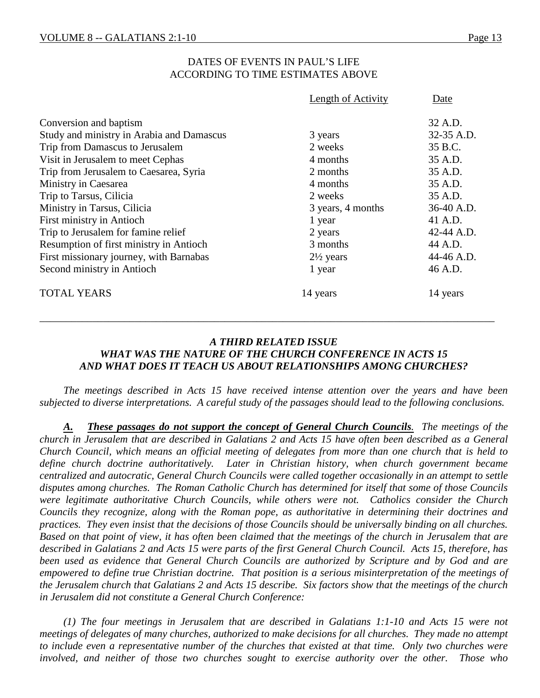## DATES OF EVENTS IN PAUL'S LIFE ACCORDING TO TIME ESTIMATES ABOVE

|                                           | Length of Activity   | Date       |
|-------------------------------------------|----------------------|------------|
| Conversion and baptism                    |                      | 32 A.D.    |
| Study and ministry in Arabia and Damascus | 3 years              | 32-35 A.D. |
| Trip from Damascus to Jerusalem           | 2 weeks              | 35 B.C.    |
| Visit in Jerusalem to meet Cephas         | 4 months             | 35 A.D.    |
| Trip from Jerusalem to Caesarea, Syria    | 2 months             | 35 A.D.    |
| Ministry in Caesarea                      | 4 months             | 35 A.D.    |
| Trip to Tarsus, Cilicia                   | 2 weeks              | 35 A.D.    |
| Ministry in Tarsus, Cilicia               | 3 years, 4 months    | 36-40 A.D. |
| <b>First ministry in Antioch</b>          | 1 year               | 41 A.D.    |
| Trip to Jerusalem for famine relief       | 2 years              | 42-44 A.D. |
| Resumption of first ministry in Antioch   | 3 months             | 44 A.D.    |
| First missionary journey, with Barnabas   | $2\frac{1}{2}$ years | 44-46 A.D. |
| Second ministry in Antioch                | 1 year               | 46 A.D.    |
| <b>TOTAL YEARS</b>                        | 14 years             | 14 years   |

## *A THIRD RELATED ISSUE WHAT WAS THE NATURE OF THE CHURCH CONFERENCE IN ACTS 15 AND WHAT DOES IT TEACH US ABOUT RELATIONSHIPS AMONG CHURCHES?*

*\_\_\_\_\_\_\_\_\_\_\_\_\_\_\_\_\_\_\_\_\_\_\_\_\_\_\_\_\_\_\_\_\_\_\_\_\_\_\_\_\_\_\_\_\_\_\_\_\_\_\_\_\_\_\_\_\_\_\_\_\_\_\_\_\_\_\_\_\_\_\_\_\_\_\_\_\_\_\_\_\_\_\_\_\_\_*

*The meetings described in Acts 15 have received intense attention over the years and have been subjected to diverse interpretations. A careful study of the passages should lead to the following conclusions.*

*A. These passages do not support the concept of General Church Councils. The meetings of the church in Jerusalem that are described in Galatians 2 and Acts 15 have often been described as a General Church Council, which means an official meeting of delegates from more than one church that is held to define church doctrine authoritatively. Later in Christian history, when church government became centralized and autocratic, General Church Councils were called together occasionally in an attempt to settle disputes among churches. The Roman Catholic Church has determined for itself that some of those Councils were legitimate authoritative Church Councils, while others were not. Catholics consider the Church Councils they recognize, along with the Roman pope, as authoritative in determining their doctrines and practices. They even insist that the decisions of those Councils should be universally binding on all churches. Based on that point of view, it has often been claimed that the meetings of the church in Jerusalem that are described in Galatians 2 and Acts 15 were parts of the first General Church Council. Acts 15, therefore, has been used as evidence that General Church Councils are authorized by Scripture and by God and are empowered to define true Christian doctrine. That position is a serious misinterpretation of the meetings of the Jerusalem church that Galatians 2 and Acts 15 describe. Six factors show that the meetings of the church in Jerusalem did not constitute a General Church Conference:*

*(1) The four meetings in Jerusalem that are described in Galatians 1:1-10 and Acts 15 were not meetings of delegates of many churches, authorized to make decisions for all churches. They made no attempt to include even a representative number of the churches that existed at that time. Only two churches were involved, and neither of those two churches sought to exercise authority over the other. Those who*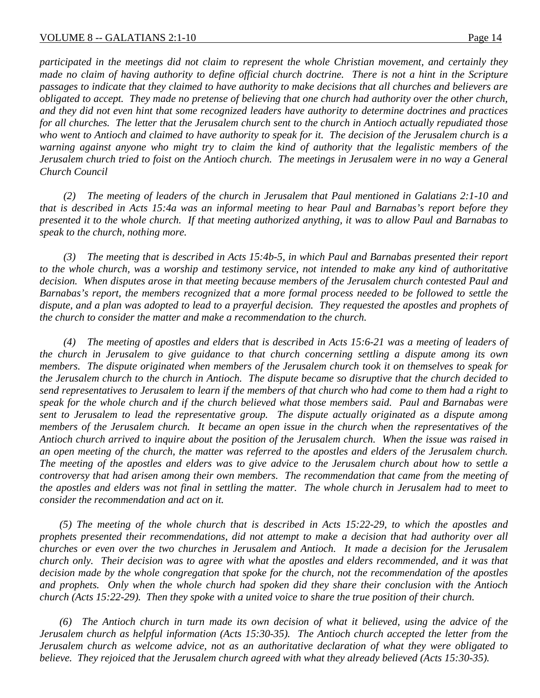*participated in the meetings did not claim to represent the whole Christian movement, and certainly they made no claim of having authority to define official church doctrine. There is not a hint in the Scripture passages to indicate that they claimed to have authority to make decisions that all churches and believers are obligated to accept. They made no pretense of believing that one church had authority over the other church, and they did not even hint that some recognized leaders have authority to determine doctrines and practices for all churches. The letter that the Jerusalem church sent to the church in Antioch actually repudiated those who went to Antioch and claimed to have authority to speak for it. The decision of the Jerusalem church is a warning against anyone who might try to claim the kind of authority that the legalistic members of the Jerusalem church tried to foist on the Antioch church. The meetings in Jerusalem were in no way a General Church Council*

*(2) The meeting of leaders of the church in Jerusalem that Paul mentioned in Galatians 2:1-10 and that is described in Acts 15:4a was an informal meeting to hear Paul and Barnabas's report before they presented it to the whole church. If that meeting authorized anything, it was to allow Paul and Barnabas to speak to the church, nothing more.*

*(3) The meeting that is described in Acts 15:4b-5, in which Paul and Barnabas presented their report to the whole church, was a worship and testimony service, not intended to make any kind of authoritative decision. When disputes arose in that meeting because members of the Jerusalem church contested Paul and Barnabas's report, the members recognized that a more formal process needed to be followed to settle the dispute, and a plan was adopted to lead to a prayerful decision. They requested the apostles and prophets of the church to consider the matter and make a recommendation to the church.*

*(4) The meeting of apostles and elders that is described in Acts 15:6-21 was a meeting of leaders of the church in Jerusalem to give guidance to that church concerning settling a dispute among its own members. The dispute originated when members of the Jerusalem church took it on themselves to speak for the Jerusalem church to the church in Antioch. The dispute became so disruptive that the church decided to send representatives to Jerusalem to learn if the members of that church who had come to them had a right to speak for the whole church and if the church believed what those members said. Paul and Barnabas were sent to Jerusalem to lead the representative group. The dispute actually originated as a dispute among members of the Jerusalem church. It became an open issue in the church when the representatives of the Antioch church arrived to inquire about the position of the Jerusalem church. When the issue was raised in an open meeting of the church, the matter was referred to the apostles and elders of the Jerusalem church. The meeting of the apostles and elders was to give advice to the Jerusalem church about how to settle a controversy that had arisen among their own members. The recommendation that came from the meeting of the apostles and elders was not final in settling the matter. The whole church in Jerusalem had to meet to consider the recommendation and act on it.*

*(5) The meeting of the whole church that is described in Acts 15:22-29, to which the apostles and prophets presented their recommendations, did not attempt to make a decision that had authority over all churches or even over the two churches in Jerusalem and Antioch. It made a decision for the Jerusalem church only. Their decision was to agree with what the apostles and elders recommended, and it was that decision made by the whole congregation that spoke for the church, not the recommendation of the apostles and prophets. Only when the whole church had spoken did they share their conclusion with the Antioch church (Acts 15:22-29). Then they spoke with a united voice to share the true position of their church.*

*(6) The Antioch church in turn made its own decision of what it believed, using the advice of the Jerusalem church as helpful information (Acts 15:30-35). The Antioch church accepted the letter from the Jerusalem church as welcome advice, not as an authoritative declaration of what they were obligated to believe. They rejoiced that the Jerusalem church agreed with what they already believed (Acts 15:30-35).*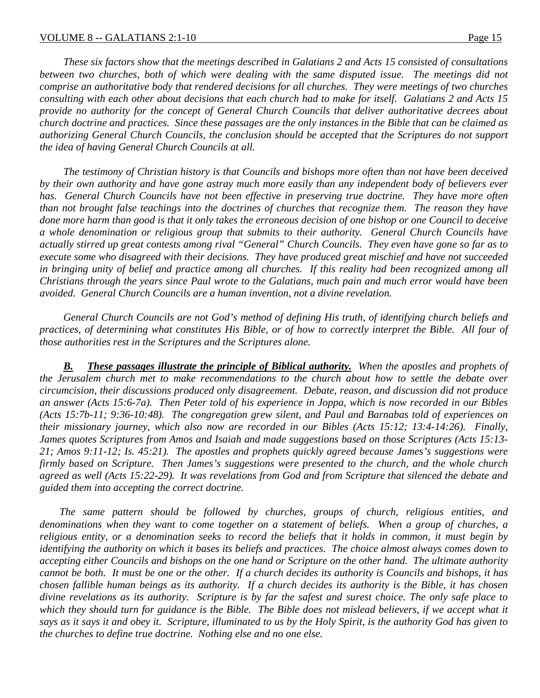*These six factors show that the meetings described in Galatians 2 and Acts 15 consisted of consultations between two churches, both of which were dealing with the same disputed issue. The meetings did not comprise an authoritative body that rendered decisions for all churches. They were meetings of two churches consulting with each other about decisions that each church had to make for itself. Galatians 2 and Acts 15 provide no authority for the concept of General Church Councils that deliver authoritative decrees about church doctrine and practices. Since these passages are the only instances in the Bible that can be claimed as authorizing General Church Councils, the conclusion should be accepted that the Scriptures do not support the idea of having General Church Councils at all.*

*The testimony of Christian history is that Councils and bishops more often than not have been deceived by their own authority and have gone astray much more easily than any independent body of believers ever has. General Church Councils have not been effective in preserving true doctrine. They have more often than not brought false teachings into the doctrines of churches that recognize them. The reason they have done more harm than good is that it only takes the erroneous decision of one bishop or one Council to deceive a whole denomination or religious group that submits to their authority. General Church Councils have actually stirred up great contests among rival "General" Church Councils. They even have gone so far as to execute some who disagreed with their decisions. They have produced great mischief and have not succeeded in bringing unity of belief and practice among all churches. If this reality had been recognized among all Christians through the years since Paul wrote to the Galatians, much pain and much error would have been avoided. General Church Councils are a human invention, not a divine revelation.*

*General Church Councils are not God's method of defining His truth, of identifying church beliefs and practices, of determining what constitutes His Bible, or of how to correctly interpret the Bible. All four of those authorities rest in the Scriptures and the Scriptures alone.*

*B. These passages illustrate the principle of Biblical authority. When the apostles and prophets of the Jerusalem church met to make recommendations to the church about how to settle the debate over circumcision, their discussions produced only disagreement. Debate, reason, and discussion did not produce an answer (Acts 15:6-7a). Then Peter told of his experience in Joppa, which is now recorded in our Bibles (Acts 15:7b-11; 9:36-10:48). The congregation grew silent, and Paul and Barnabas told of experiences on their missionary journey, which also now are recorded in our Bibles (Acts 15:12; 13:4-14:26). Finally, James quotes Scriptures from Amos and Isaiah and made suggestions based on those Scriptures (Acts 15:13- 21; Amos 9:11-12; Is. 45:21). The apostles and prophets quickly agreed because James's suggestions were firmly based on Scripture. Then James's suggestions were presented to the church, and the whole church agreed as well (Acts 15:22-29). It was revelations from God and from Scripture that silenced the debate and guided them into accepting the correct doctrine.* 

*The same pattern should be followed by churches, groups of church, religious entities, and denominations when they want to come together on a statement of beliefs. When a group of churches, a religious entity, or a denomination seeks to record the beliefs that it holds in common, it must begin by identifying the authority on which it bases its beliefs and practices. The choice almost always comes down to accepting either Councils and bishops on the one hand or Scripture on the other hand. The ultimate authority cannot be both. It must be one or the other. If a church decides its authority is Councils and bishops, it has chosen fallible human beings as its authority. If a church decides its authority is the Bible, it has chosen divine revelations as its authority. Scripture is by far the safest and surest choice. The only safe place to*  which they should turn for guidance is the Bible. The Bible does not mislead believers, if we accept what it *says as it says it and obey it. Scripture, illuminated to us by the Holy Spirit, is the authority God has given to the churches to define true doctrine. Nothing else and no one else.*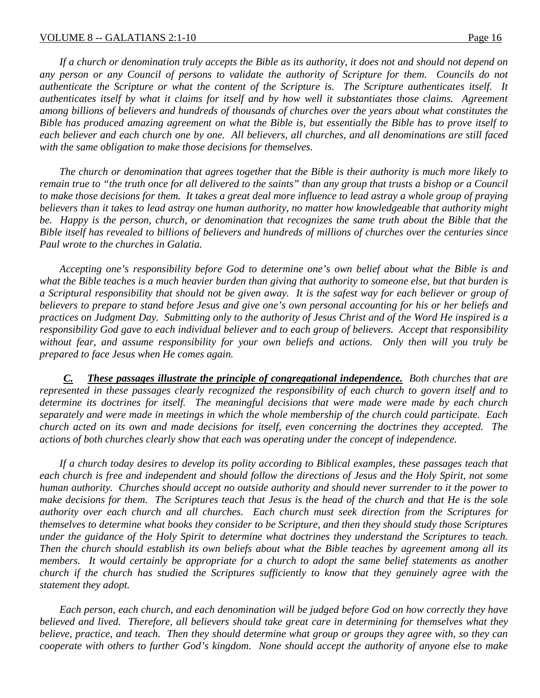*If a church or denomination truly accepts the Bible as its authority, it does not and should not depend on*  any person or any Council of persons to validate the authority of Scripture for them. Councils do not *authenticate the Scripture or what the content of the Scripture is. The Scripture authenticates itself. It authenticates itself by what it claims for itself and by how well it substantiates those claims. Agreement among billions of believers and hundreds of thousands of churches over the years about what constitutes the Bible has produced amazing agreement on what the Bible is, but essentially the Bible has to prove itself to*  each believer and each church one by one. All believers, all churches, and all denominations are still faced *with the same obligation to make those decisions for themselves.*

*The church or denomination that agrees together that the Bible is their authority is much more likely to remain true to "the truth once for all delivered to the saints" than any group that trusts a bishop or a Council to make those decisions for them. It takes a great deal more influence to lead astray a whole group of praying believers than it takes to lead astray one human authority, no matter how knowledgeable that authority might be. Happy is the person, church, or denomination that recognizes the same truth about the Bible that the Bible itself has revealed to billions of believers and hundreds of millions of churches over the centuries since Paul wrote to the churches in Galatia.*

*Accepting one's responsibility before God to determine one's own belief about what the Bible is and what the Bible teaches is a much heavier burden than giving that authority to someone else, but that burden is a Scriptural responsibility that should not be given away. It is the safest way for each believer or group of believers to prepare to stand before Jesus and give one's own personal accounting for his or her beliefs and practices on Judgment Day. Submitting only to the authority of Jesus Christ and of the Word He inspired is a responsibility God gave to each individual believer and to each group of believers. Accept that responsibility without fear, and assume responsibility for your own beliefs and actions. Only then will you truly be prepared to face Jesus when He comes again.*

*C. These passages illustrate the principle of congregational independence. Both churches that are represented in these passages clearly recognized the responsibility of each church to govern itself and to determine its doctrines for itself. The meaningful decisions that were made were made by each church separately and were made in meetings in which the whole membership of the church could participate. Each church acted on its own and made decisions for itself, even concerning the doctrines they accepted. The actions of both churches clearly show that each was operating under the concept of independence.*

*If a church today desires to develop its polity according to Biblical examples, these passages teach that each church is free and independent and should follow the directions of Jesus and the Holy Spirit, not some human authority. Churches should accept no outside authority and should never surrender to it the power to make decisions for them. The Scriptures teach that Jesus is the head of the church and that He is the sole authority over each church and all churches. Each church must seek direction from the Scriptures for themselves to determine what books they consider to be Scripture, and then they should study those Scriptures under the guidance of the Holy Spirit to determine what doctrines they understand the Scriptures to teach. Then the church should establish its own beliefs about what the Bible teaches by agreement among all its members. It would certainly be appropriate for a church to adopt the same belief statements as another church if the church has studied the Scriptures sufficiently to know that they genuinely agree with the statement they adopt.*

*Each person, each church, and each denomination will be judged before God on how correctly they have believed and lived. Therefore, all believers should take great care in determining for themselves what they believe, practice, and teach. Then they should determine what group or groups they agree with, so they can cooperate with others to further God's kingdom. None should accept the authority of anyone else to make*